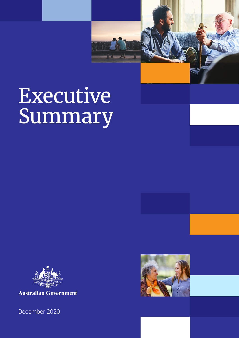# Executive Summary



**Australian Government** 

December 2020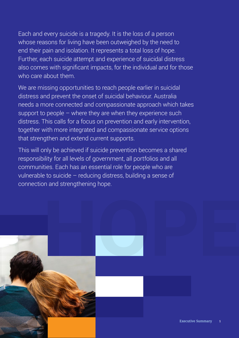Each and every suicide is a tragedy. It is the loss of a person whose reasons for living have been outweighed by the need to end their pain and isolation. It represents a total loss of hope. Further, each suicide attempt and experience of suicidal distress also comes with significant impacts, for the individual and for those who care about them.

We are missing opportunities to reach people earlier in suicidal distress and prevent the onset of suicidal behaviour. Australia needs a more connected and compassionate approach which takes support to people  $-$  where they are when they experience such distress. This calls for a focus on prevention and early intervention, together with more integrated and compassionate service options that strengthen and extend current supports.

This will only be achieved if suicide prevention becomes a shared responsibility for all levels of government, all portfolios and all communities. Each has an essential role for people who are vulnerable to suicide – reducing distress, building a sense of connection and strengthening hope.

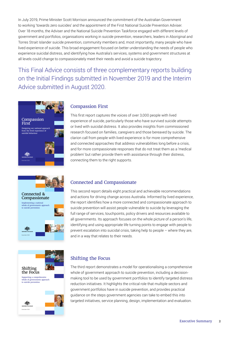In July 2019, Prime Minister Scott Morrison announced the commitment of the Australian Government to working 'towards zero suicides' and the appointment of the First National Suicide Prevention Adviser. Over 18 months, the Adviser and the National Suicide Prevention Taskforce engaged with different levels of government and portfolios, organisations working in suicide prevention, researchers, leaders in Aboriginal and Torres Strait Islander suicide prevention, community members and, most importantly, many people who have lived experience of suicide. This broad engagement focused on better understanding the needs of people who experience suicidal distress, and identifying how Australia's services, systems and government structures at all levels could change to compassionately meet their needs and avoid a suicide trajectory.

This Final Advice consists of three complementary reports building on the Initial Findings submitted in November 2019 and the Interim Advice submitted in August 2020.



## Connected & Compassionate Implementing a national whole of governments approach to suicide prevention December 2020

## December 2020 Shifting the Focus Supporting a comprehensive whole of governments approach to suicide prevention

#### Compassion First

This first report captures the voices of over 3,000 people with lived experience of suicide, particularly those who have survived suicide attempts or lived with suicidal distress. It also provides insights from commissioned research focused on families, caregivers and those bereaved by suicide. The clarion call from people with lived experience is for more comprehensive and connected approaches that address vulnerabilities long before a crisis, and for more compassionate responses that do not treat them as a 'medical problem' but rather provide them with assistance through their distress, connecting them to the right supports.

#### Connected and Compassionate

This second report details eight practical and achievable recommendations and actions for driving change across Australia. Informed by lived experience, the report identifies how a more connected and compassionate approach to suicide prevention will assist people vulnerable to suicide by leveraging the full range of services, touchpoints, policy drivers and resources available to all governments. Its approach focuses on the whole picture of a person's life, identifying and using appropriate life turning points to engage with people to prevent escalation into suicidal crisis, taking help to people – where they are, and in a way that relates to their needs.

#### Shifting the Focus

The third report demonstrates a model for operationalising a comprehensive whole of government approach to suicide prevention, including a decisionmaking tool to be used by government portfolios to identify targeted distress reduction initiatives. It highlights the critical role that multiple sectors and government portfolios have in suicide prevention, and provides practical guidance on the steps government agencies can take to embed this into targeted initiatives, service planning, design, implementation and evaluation.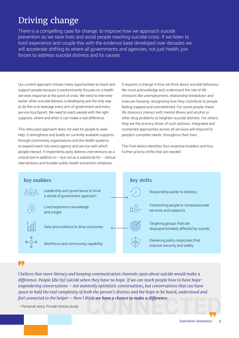## Driving change

There is a compelling case for change: to improve how we approach suicide prevention so we save lives and avoid people reaching suicidal crisis. If we listen to lived experience and couple this with the evidence base developed over decades we will accelerate shifting to where all governments and agencies, not just health, join forces to address suicidal distress and its causes.

Our current approach misses many opportunities to reach and support people because it predominantly focuses on a health services response at the point of crisis. We need to intervene earlier when suicidal distress is developing and the only way to do this is to leverage every arm of government and every service touchpoint. We need to reach people with the right supports, where and when it can make a real difference.

This refocused approach does not wait for people to seek help. It strengthens and builds on currently available supports through community organisations and the health systems to expand reach into every agency and service with which people interact. It implements early distress interventions as a critical tool in addition to  $-$  but not as a substitute for  $-$  clinical interventions and broader public health prevention initiatives.

It requires a change in how we think about suicidal behaviour. We must acknowledge and understand the role of life stressors like unemployment, relationship breakdown and insecure housing, recognising how they contribute to people feeling trapped and overwhelmed. For some people, these life stressors interact with mental illness and alcohol or other drug problems to heighten suicidal distress. For others, they are the primary driver of such distress. Integrated and connected approaches across all services will respond to people's complete needs, throughout their lives.

The *Final Advice* identifies four essential enablers and four further priority shifts that are needed:



#### U.

**CONNECTED** *feel connected to the helper – then I think we have a chance to make a difference. I believe that more literacy and keeping communication channels open about suicide would make a difference. People [die by] suicide when they have no hope. If we can teach people how to have hopeengendering conversations – not wantonly optimistic conversations, but conversations that can have space to hold the real complexity of both the person's distress and the hope to be heard, understood and* 

– Personal story, Private Voices study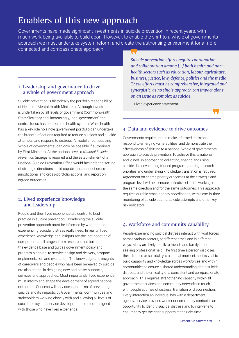### Enablers of this new approach

Governments have made significant investments in suicide prevention in recent years, with much work being available to build upon. However, to enable the shift to a whole of governments approach we must undertake system reform and create the authorising environment for a more connected and compassionate approach.

#### 1. Leadership and governance to drive a whole of government approach

Suicide prevention is historically the portfolio responsibility of Health or Mental Health Ministers. Although investment is undertaken by all levels of government (Commonwealth, State/Territory and, increasingly, local government) the central focus has been on the health system. While health has a key role no single government portfolio can undertake the breadth of actions required to reduce suicides and suicide attempts, and respond to distress. A model encompassing 'whole of governments', can only be possible if authorised by First Ministers. At the national level, a *National Suicide Prevention Strategy* is required and the establishment of a National Suicide Prevention Office would facilitate the setting of strategic directions, build capabilities, support crossjurisdictional and cross-portfolio actions, and report on agreed outcomes.

#### 2. Lived experience knowledge and leadership

People and their lived experience are central to best practice in suicide prevention. Broadening the suicide prevention approach must be informed by what people experiencing suicidal distress really need. In reality, lived experience knowledge and insights are the 'not negotiable' component at all stages, from research that builds the evidence base and guides government policy and program planning, to service design and delivery, program implementation and evaluation. The knowledge and insights of caregivers and people who have been bereaved by suicide are also critical in designing new and better supports, services and approaches. Most importantly, lived experience must inform and shape the development of agreed national outcomes. Success will only come, in terms of preventing suicide and its impacts, by Governments, communities and stakeholders working closely with and allowing all levels of suicide policy and service development to be co-designed with those who have lived experience.

*Suicide prevention efforts require coordination and collaboration among […] both health and nonhealth sectors such as education, labour, agriculture, business, justice, law, defence, politics and the media. These efforts must be comprehensive, integrated and synergistic, as no single approach can impact alone on an issue as complex as suicide.*

– Lived experience statement



#### 3. Data and evidence to drive outcomes

Governments require data to make informed decisions, respond to emerging vulnerabilities, and demonstrate the effectiveness of shifting to a national 'whole of governments' approach to suicide prevention. To achieve this, a national and joined up approach to collecting, sharing and using suicide data, evaluating funded programs, setting research priorities and undertaking knowledge translation is required. Agreement on shared priority outcomes at the strategic and program level will help ensure collective effort is working in the same direction and for the same outcomes. This approach requires durable cross-agency coordination, with close-in-time monitoring of suicide deaths, suicide attempts and other key risk indicators.

#### 4. Workforce and community capability

People experiencing suicidal distress interact with workforces across various sectors, at different times and in different ways. Many are likely to talk to friends and family before seeking professional help. The first time a person discloses their distress or suicidality is a critical moment, so it is vital to build capability and knowledge across workforces and within communities to ensure a shared understanding about suicide distress, and the criticality of a consistent and compassionate approach. This requires strengthening capacity within all government services and community networks in touch with people at times of distress, transition or disconnection. Every interaction an individual has with a department, agency, service provider, worker or community contact is an opportunity to identify suicidal distress and to intervene to ensure they get the right supports at the right time.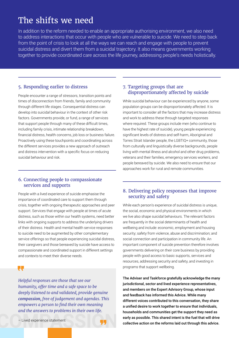### The shifts we need

In addition to the reform needed to enable an appropriate authorising environment, we also need to address interactions that occur with people who are vulnerable to suicide. We need to step back from the point of crisis to look at all the ways we can reach and engage with people to prevent suicidal distress and divert them from a suicidal trajectory. It also means governments working together to provide coordinated care across the life journey, addressing people's needs holistically.

#### 5. Responding earlier to distress

People encounter a range of stressors, transition points and times of disconnection from friends, family and community through different life stages. Consequential distress can develop into suicidal behaviour in the context of other risk factors. Governments provide, or fund, a range of services that support people through many of these difficult times, including family crisis, intimate relationship breakdown, financial distress, health concerns, job loss or business failure. Proactively using these touchpoints and coordinating across the different services provides a new approach of outreach and distress intervention with a specific focus on reducing suicidal behaviour and risk.

#### 6. Connecting people to compassionate services and supports

People with a lived experience of suicide emphasise the importance of coordinated care to support them through crisis, together with ongoing therapeutic approaches and peer support. Services that engage with people at times of acute distress, such as those within our health systems, need better links with ongoing supports to address the underlying drivers of their distress. Health and mental health service responses to suicide need to be augmented by other complementary service offerings so that people experiencing suicidal distress, their caregivers and those bereaved by suicide have access to compassionate and coordinated support in different settings and contexts to meet their diverse needs.

 $\blacksquare$ 

*Helpful responses are those that see our humanity, offer time and a safe space to be deeply listened to and validated, provide genuine compassion, free of judgement and agendas. This empowers a person to find their own meaning and the answers to problems in their own life.*



#### 7. Targeting groups that are disproportionately affected by suicide

While suicidal behaviour can be experienced by anyone, some population groups can be disproportionately affected. It is important to consider all the factors that may increase distress and work to address these through targeted responses where required. These groups include men (who continue to have the highest rate of suicide), young people experiencing significant levels of distress and self-harm, Aboriginal and Torres Strait Islander people, the LGBTIQ+ community, those from culturally and linguistically diverse backgrounds, people living with mental illness and alcohol and other drug problems, veterans and their families, emergency services workers, and people bereaved by suicide. We also need to ensure that our approaches work for rural and remote communities.

#### 8. Delivering policy responses that improve security and safety

While each person's experience of suicidal distress is unique, the social, economic and physical environments in which we live also shape suicidal behaviours. The relevant factors are frequently in the social determinants of health and wellbeing and include: economic, employment and housing security; safety from violence, abuse and discrimination; and social connection and participation in community life. An important component of suicide prevention therefore involves governments delivering on their core business by providing people with good access to basic supports, services and resources, addressing security and safety, and investing in programs that support wellbeing.

The Adviser and Taskforce gratefully acknowledge the many jurisdictional, sector and lived experience representatives, and members on the Expert Advisory Group, whose input and feedback has informed this Advice. While many different voices contributed to this conversation, they share a unified desire to work together to ensure that individuals, households and communities get the support they need as early as possible. This shared intent is the fuel that will drive collective action on the reforms laid out through this advice.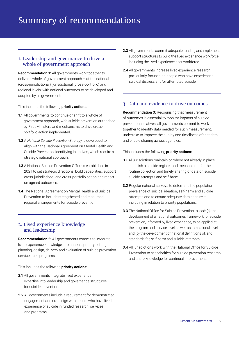#### 1. Leadership and governance to drive a whole of government approach

Recommendation 1: All governments work together to deliver a whole of government approach – at the national (cross-jurisdictional), jurisdictional (cross-portfolio) and regional levels; with national outcomes to be developed and adopted by all governments.

This includes the following priority actions:

- 1.1 All governments to continue or shift to a whole of government approach, with suicide prevention authorised by First Ministers and mechanisms to drive crossportfolio action implemented.
- 1.2 A *National Suicide Prevention Strategy* is developed to align with the National Agreement on Mental Health and Suicide Prevention, identifying initiatives, which require a strategic national approach.
- 1.3 A National Suicide Prevention Office is established in 2021 to set strategic directions, build capabilities, support cross-jurisdictional and cross-portfolio action and report on agreed outcomes.
- 1.4 The National Agreement on Mental Health and Suicide Prevention to include strengthened and resourced regional arrangements for suicide prevention.

#### 2. Lived experience knowledge and leadership

Recommendation 2: All governments commit to integrate lived experience knowledge into national priority setting, planning, design, delivery and evaluation of suicide prevention services and programs.

This includes the following priority actions:

- 2.1 All governments integrate lived experience expertise into leadership and governance structures for suicide prevention.
- 2.2 All governments include a requirement for demonstrated engagement and co-design with people who have lived experience of suicide in funded research, services and programs.
- 2.3 All governments commit adequate funding and implement support structures to build the lived experience workforce, including the lived experience peer workforce.
- 2.4 All governments increase lived experience research, particularly focused on people who have experienced suicidal distress and/or attempted suicide.

#### 3. Data and evidence to drive outcomes

Recommendation 3: Recognising that measurement of outcomes is essential to monitor impacts of suicide prevention initiatives, all governments commit to work together to identify data needed for such measurement, undertake to improve the quality and timeliness of that data, and enable sharing across agencies.

This includes the following **priority actions:** 

- 3.1 All jurisdictions maintain or, where not already in place, establish a suicide register and mechanisms for the routine collection and timely sharing of data on suicide, suicide attempts and self-harm.
- 3.2 Regular national surveys to determine the population prevalence of suicidal ideation, self-harm and suicide attempts and to ensure adequate data capture – including in relation to priority populations.
- 3.3 The National Office for Suicide Prevention to lead: (a) the development of a national outcomes framework for suicide prevention, informed by lived experience, to be applied at the program and service level as well as the national level; and (b) the development of national definitions of, and standards for, self-harm and suicide attempts.
- 3.4 All jurisdictions work with the National Office for Suicide Prevention to set priorities for suicide prevention research and share knowledge for continual improvement.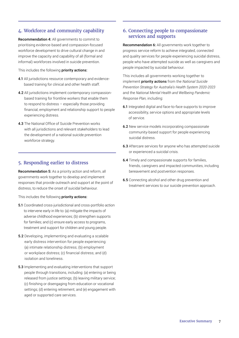#### 4. Workforce and community capability

Recommendation 4: All governments to commit to prioritising evidence-based and compassion-focused workforce development to drive cultural change in and improve the capacity and capability of all (formal and informal) workforces involved in suicide prevention.

This includes the following priority actions:

- 4.1 All jurisdictions resource contemporary and evidencebased training for clinical and other health staff.
- 4.2 All jurisdictions implement contemporary compassionbased training for frontline workers that enable them to respond to distress – especially those providing financial, employment and relationship support to people experiencing distress.
- 4.3 The National Office of Suicide Prevention works with all jurisdictions and relevant stakeholders to lead the development of a national suicide prevention workforce strategy.

#### 5. Responding earlier to distress

Recommendation 5: As a priority action and reform, all governments work together to develop and implement responses that provide outreach and support at the point of distress, to reduce the onset of suicidal behaviour.

This includes the following priority actions:

- 5.1 Coordinated cross-jurisdictional and cross-portfolio action to intervene early in life to: (a) mitigate the impacts of adverse childhood experiences; (b) strengthen supports for families; and (c) ensure early access to programs, treatment and support for children and young people.
- 5.2 Developing, implementing and evaluating a scalable early distress intervention for people experiencing: (a) intimate relationship distress; (b) employment or workplace distress; (c) financial distress; and (d) isolation and loneliness.
- 5.3 Implementing and evaluating interventions that support people through transitions, including: (a) entering or being released from justice settings; (b) leaving military service; (c) finishing or disengaging from education or vocational settings; (d) entering retirement; and (e) engagement with aged or supported care services.

#### 6. Connecting people to compassionate services and supports

Recommendation 6: All governments work together to progress service reform to achieve integrated, connected and quality services for people experiencing suicidal distress, people who have attempted suicide as well as caregivers and people impacted by suicidal behaviour.

This includes all governments working together to implement priority actions from the *National Suicide Prevention Strategy for Australia's Health System 2020-2023* and the *National Mental Health and Wellbeing Pandemic Response Plan,* including:

- 6.1 Integrated digital and face-to-face supports to improve accessibility, service options and appropriate levels of service.
- 6.2 New service models incorporating compassionate community-based support for people experiencing suicidal distress.
- 6.3 Aftercare services for anyone who has attempted suicide or experienced a suicidal crisis.
- 6.4 Timely and compassionate supports for families, friends, caregivers and impacted communities, including bereavement and postvention responses.
- 6.5 Connecting alcohol and other drug prevention and treatment services to our suicide prevention approach.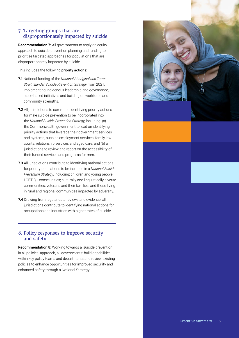#### 7. Targeting groups that are disproportionately impacted by suicide

Recommendation 7: All governments to apply an equity approach to suicide prevention planning and funding to prioritise targeted approaches for populations that are disproportionately impacted by suicide.

This includes the following priority actions:

- 7.1 National funding of the *National Aboriginal and Torres Strait Islander Suicide Prevention Strategy* from 2021, implementing Indigenous leadership and governance, place-based initiatives and building on workforce and community strengths.
- 7.2 All jurisdictions to commit to identifying priority actions for male suicide prevention to be incorporated into the *National Suicide Prevention Strategy,* including: (a) the Commonwealth government to lead on identifying priority actions that leverage their government services and systems, such as employment services, family law courts, relationship services and aged care; and (b) all jurisdictions to review and report on the accessibility of their funded services and programs for men.
- 7.3 All jurisdictions contribute to identifying national actions for priority populations to be included in a *National Suicide Prevention Strategy*, including: children and young people; LGBTIQ+ communities; culturally and linguistically diverse communities; veterans and their families; and those living in rural and regional communities impacted by adversity.
- 7.4 Drawing from regular data reviews and evidence, all jurisdictions contribute to identifying national actions for occupations and industries with higher rates of suicide.

#### 8. Policy responses to improve security and safety

Recommendation 8: Working towards a 'suicide prevention in all policies' approach, all governments: build capabilities within key policy teams and departments and review existing policies to enhance opportunities for improved security and enhanced safety through a National Strategy.